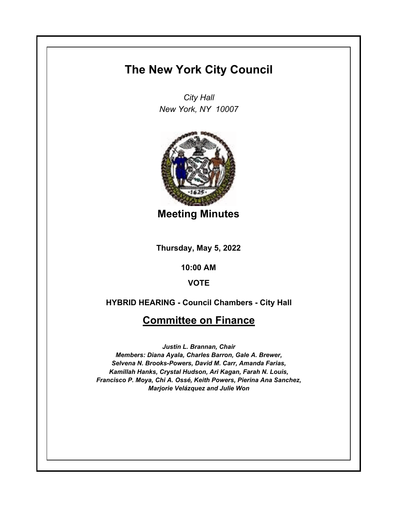## **The New York City Council**

*City Hall New York, NY 10007*



**Meeting Minutes**

**Thursday, May 5, 2022**

**10:00 AM**

**VOTE**

**HYBRID HEARING - Council Chambers - City Hall**

## **Committee on Finance**

*Justin L. Brannan, Chair Members: Diana Ayala, Charles Barron, Gale A. Brewer, Selvena N. Brooks-Powers, David M. Carr, Amanda Farias, Kamillah Hanks, Crystal Hudson, Ari Kagan, Farah N. Louis, Francisco P. Moya, Chi A. Ossé, Keith Powers, Pierina Ana Sanchez, Marjorie Velázquez and Julie Won*